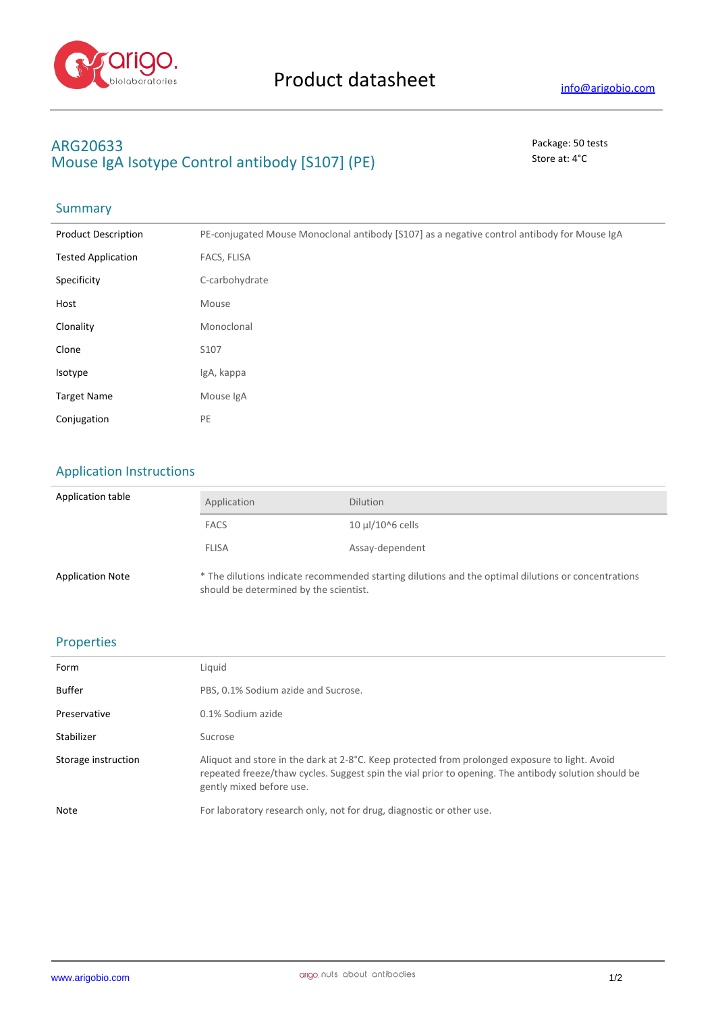

## **ARG20633** Package: 50 tests **Mouse IgA Isotype Control antibody [S107] (PE)** Store at: 4°C

# Summary

| <b>Product Description</b> | PE-conjugated Mouse Monoclonal antibody [S107] as a negative control antibody for Mouse IgA |
|----------------------------|---------------------------------------------------------------------------------------------|
| <b>Tested Application</b>  | FACS, FLISA                                                                                 |
| Specificity                | C-carbohydrate                                                                              |
| Host                       | Mouse                                                                                       |
| Clonality                  | Monoclonal                                                                                  |
| Clone                      | S107                                                                                        |
| Isotype                    | IgA, kappa                                                                                  |
| <b>Target Name</b>         | Mouse IgA                                                                                   |
| Conjugation                | PE                                                                                          |

### Application Instructions

| Application table       | Application                                                                                                                                   | <b>Dilution</b>       |
|-------------------------|-----------------------------------------------------------------------------------------------------------------------------------------------|-----------------------|
|                         | <b>FACS</b>                                                                                                                                   | $10 \mu$ l/10^6 cells |
|                         | <b>FLISA</b>                                                                                                                                  | Assay-dependent       |
| <b>Application Note</b> | * The dilutions indicate recommended starting dilutions and the optimal dilutions or concentrations<br>should be determined by the scientist. |                       |

#### Properties

| Form                | Liquid                                                                                                                                                                                                                             |
|---------------------|------------------------------------------------------------------------------------------------------------------------------------------------------------------------------------------------------------------------------------|
| Buffer              | PBS, 0.1% Sodium azide and Sucrose.                                                                                                                                                                                                |
| Preservative        | 0.1% Sodium azide                                                                                                                                                                                                                  |
| Stabilizer          | Sucrose                                                                                                                                                                                                                            |
| Storage instruction | Aliquot and store in the dark at 2-8°C. Keep protected from prolonged exposure to light. Avoid<br>repeated freeze/thaw cycles. Suggest spin the vial prior to opening. The antibody solution should be<br>gently mixed before use. |
| <b>Note</b>         | For laboratory research only, not for drug, diagnostic or other use.                                                                                                                                                               |